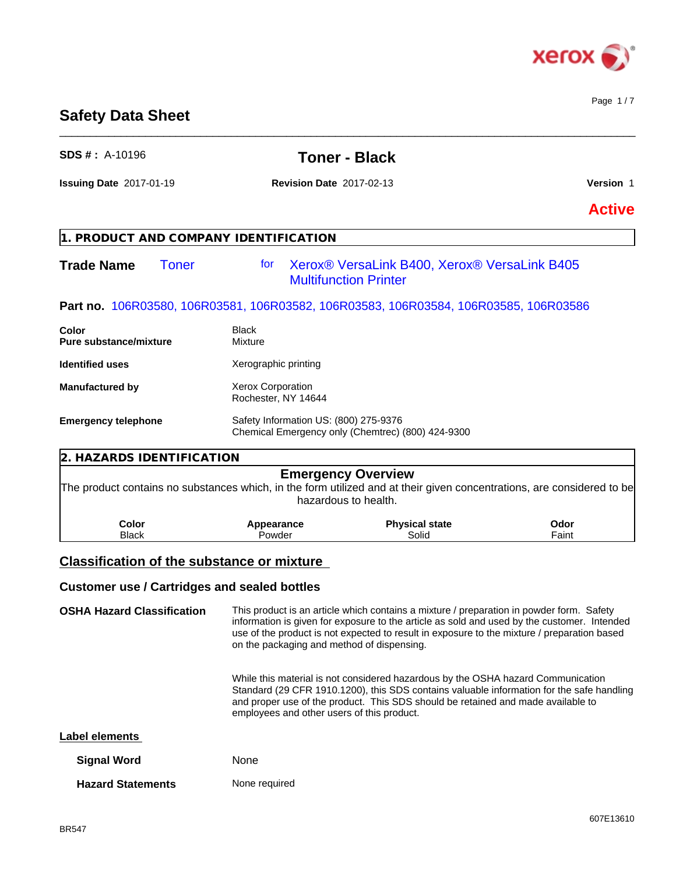

# **Safety Data Sheet**

| SDS #: A-10196                                    |                         | <b>Toner - Black</b>                              |                                                                                      |                                                                                                                        |
|---------------------------------------------------|-------------------------|---------------------------------------------------|--------------------------------------------------------------------------------------|------------------------------------------------------------------------------------------------------------------------|
| <b>Issuing Date 2017-01-19</b>                    |                         | <b>Revision Date 2017-02-13</b>                   |                                                                                      | Version 1                                                                                                              |
|                                                   |                         |                                                   |                                                                                      | <b>Active</b>                                                                                                          |
| 1. PRODUCT AND COMPANY IDENTIFICATION             |                         |                                                   |                                                                                      |                                                                                                                        |
| <b>Trade Name</b>                                 | for<br><b>Toner</b>     | <b>Multifunction Printer</b>                      | Xerox® VersaLink B400, Xerox® VersaLink B405                                         |                                                                                                                        |
|                                                   |                         |                                                   | Part no. 106R03580, 106R03581, 106R03582, 106R03583, 106R03584, 106R03585, 106R03586 |                                                                                                                        |
| Color<br><b>Pure substance/mixture</b>            | <b>Black</b><br>Mixture |                                                   |                                                                                      |                                                                                                                        |
| <b>Identified uses</b>                            |                         | Xerographic printing                              |                                                                                      |                                                                                                                        |
| <b>Manufactured by</b>                            |                         | <b>Xerox Corporation</b><br>Rochester, NY 14644   |                                                                                      |                                                                                                                        |
| <b>Emergency telephone</b>                        |                         | Safety Information US: (800) 275-9376             | Chemical Emergency only (Chemtrec) (800) 424-9300                                    |                                                                                                                        |
| 2. HAZARDS IDENTIFICATION                         |                         |                                                   |                                                                                      |                                                                                                                        |
|                                                   |                         | <b>Emergency Overview</b><br>hazardous to health. |                                                                                      | The product contains no substances which, in the form utilized and at their given concentrations, are considered to be |
| Color<br><b>Black</b>                             |                         | Appearance<br>Powder                              | <b>Physical state</b><br>Solid                                                       | Odor<br>Faint                                                                                                          |
| <b>Classification of the substance or mixture</b> |                         |                                                   |                                                                                      |                                                                                                                        |
| $\bullet$ . To the set of the set of $\bullet$    |                         |                                                   |                                                                                      |                                                                                                                        |

 $\_$  ,  $\_$  ,  $\_$  ,  $\_$  ,  $\_$  ,  $\_$  ,  $\_$  ,  $\_$  ,  $\_$  ,  $\_$  ,  $\_$  ,  $\_$  ,  $\_$  ,  $\_$  ,  $\_$  ,  $\_$  ,  $\_$  ,  $\_$  ,  $\_$  ,  $\_$  ,  $\_$  ,  $\_$  ,  $\_$  ,  $\_$  ,  $\_$  ,  $\_$  ,  $\_$  ,  $\_$  ,  $\_$  ,  $\_$  ,  $\_$  ,  $\_$  ,  $\_$  ,  $\_$  ,  $\_$  ,  $\_$  ,  $\_$  ,

### **Customer use / Cartridges and sealed bottles**

**OSHA Hazard Classification** This product is an article which contains a mixture / preparation in powder form. Safety information is given for exposure to the article as sold and used by the customer. Intended use of the product is not expected to result in exposure to the mixture / preparation based on the packaging and method of dispensing.

> While this material is not considered hazardous by the OSHA hazard Communication Standard (29 CFR 1910.1200), this SDS contains valuable information for the safe handling and proper use of the product. This SDS should be retained and made available to employees and other users of this product.

| Label elements |
|----------------|
|----------------|

| <b>Signal Word</b>       | <b>None</b>   |
|--------------------------|---------------|
| <b>Hazard Statements</b> | None required |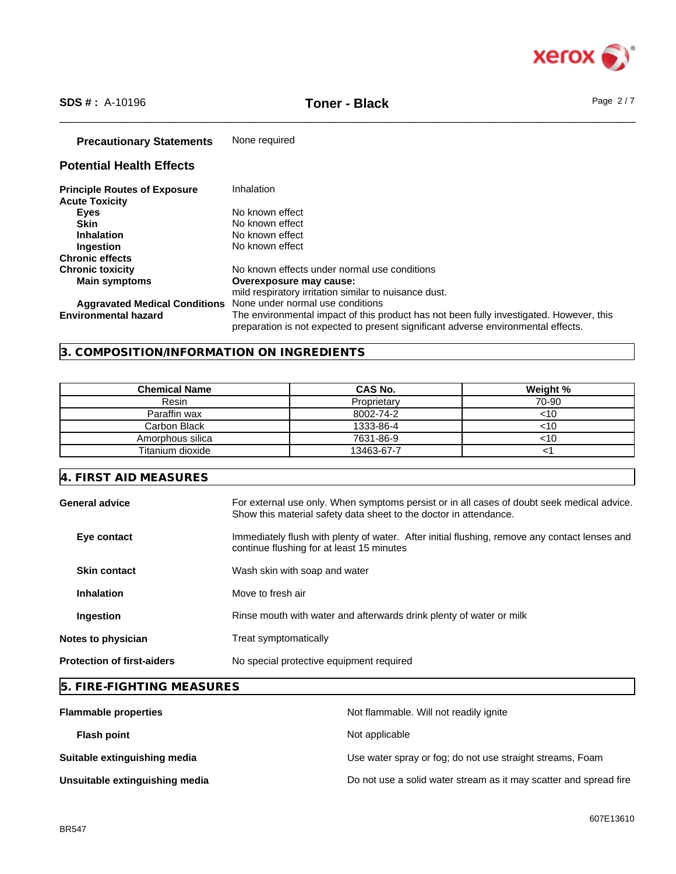

\_\_\_\_\_\_\_\_\_\_\_\_\_\_\_\_\_\_\_\_\_\_\_\_\_\_\_\_\_\_\_\_\_\_\_\_\_\_\_\_\_\_\_\_\_\_\_\_\_\_\_\_\_\_\_\_\_\_\_\_\_\_\_\_\_\_\_\_\_\_\_\_\_\_\_\_\_\_\_\_\_\_\_\_\_\_\_\_\_\_\_\_\_\_ **SDS # :** A-10196 **Toner - Black** Page 2 / 7

## **Precautionary Statements** None required

# **Potential Health Effects**

| <b>Principle Routes of Exposure</b>  | Inhalation                                                                                                                                                                   |
|--------------------------------------|------------------------------------------------------------------------------------------------------------------------------------------------------------------------------|
| <b>Acute Toxicity</b>                |                                                                                                                                                                              |
| Eyes                                 | No known effect                                                                                                                                                              |
| <b>Skin</b>                          | No known effect                                                                                                                                                              |
| <b>Inhalation</b>                    | No known effect                                                                                                                                                              |
| <b>Ingestion</b>                     | No known effect                                                                                                                                                              |
| <b>Chronic effects</b>               |                                                                                                                                                                              |
| <b>Chronic toxicity</b>              | No known effects under normal use conditions                                                                                                                                 |
| <b>Main symptoms</b>                 | Overexposure may cause:                                                                                                                                                      |
|                                      | mild respiratory irritation similar to nuisance dust.                                                                                                                        |
| <b>Aggravated Medical Conditions</b> | None under normal use conditions                                                                                                                                             |
| <b>Environmental hazard</b>          | The environmental impact of this product has not been fully investigated. However, this<br>preparation is not expected to present significant adverse environmental effects. |

# **3. COMPOSITION/INFORMATION ON INGREDIENTS**

| <b>Chemical Name</b> | CAS No.     | Weight % |
|----------------------|-------------|----------|
| Resin                | Proprietary | 70-90    |
| Paraffin wax         | 8002-74-2   | <10      |
| Carbon Black         | 1333-86-4   | <10      |
| Amorphous silica     | 7631-86-9   | <10      |
| Titanium dioxide     | 13463-67-7  |          |

# **4. FIRST AID MEASURES**

| General advice                    | For external use only. When symptoms persist or in all cases of doubt seek medical advice.<br>Show this material safety data sheet to the doctor in attendance. |
|-----------------------------------|-----------------------------------------------------------------------------------------------------------------------------------------------------------------|
| Eye contact                       | Immediately flush with plenty of water. After initial flushing, remove any contact lenses and<br>continue flushing for at least 15 minutes                      |
| <b>Skin contact</b>               | Wash skin with soap and water                                                                                                                                   |
| <b>Inhalation</b>                 | Move to fresh air                                                                                                                                               |
| Ingestion                         | Rinse mouth with water and afterwards drink plenty of water or milk                                                                                             |
| <b>Notes to physician</b>         | Treat symptomatically                                                                                                                                           |
| <b>Protection of first-aiders</b> | No special protective equipment required                                                                                                                        |

# **5. FIRE-FIGHTING MEASURES**

| <b>Flammable properties</b>    | Not flammable. Will not readily ignite                            |
|--------------------------------|-------------------------------------------------------------------|
| <b>Flash point</b>             | Not applicable                                                    |
| Suitable extinguishing media   | Use water spray or fog; do not use straight streams, Foam         |
| Unsuitable extinguishing media | Do not use a solid water stream as it may scatter and spread fire |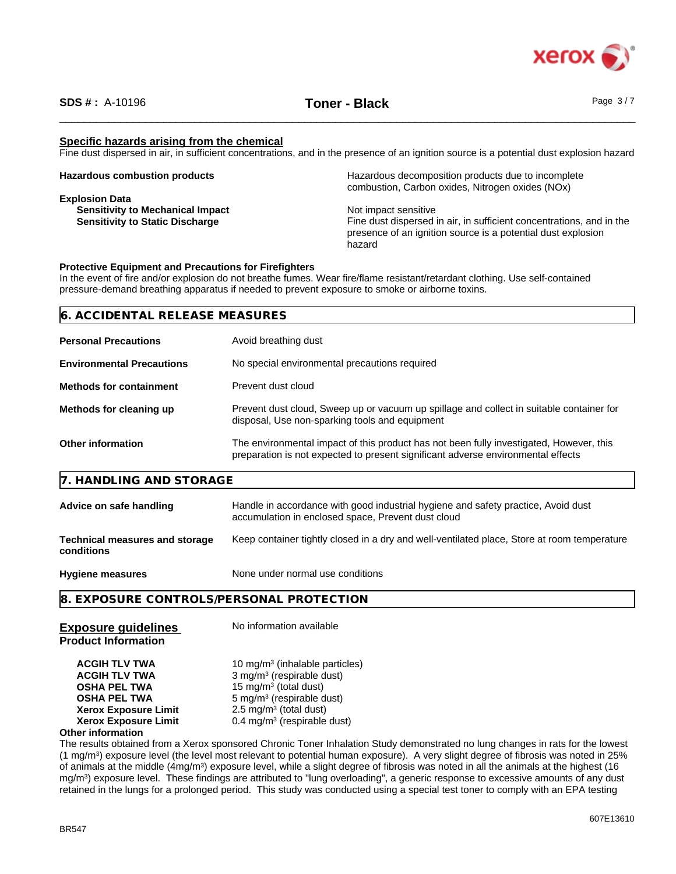

### **Specific hazards arising from the chemical**

Fine dust dispersed in air, in sufficient concentrations, and in the presence of an ignition source is a potential dust explosion hazard

| <b>Hazardous combustion products</b>    | Hazardous decomposition products due to incomplete<br>combustion, Carbon oxides, Nitrogen oxides (NOx) |
|-----------------------------------------|--------------------------------------------------------------------------------------------------------|
| <b>Explosion Data</b>                   |                                                                                                        |
| <b>Sensitivity to Mechanical Impact</b> | Not impact sensitive                                                                                   |
| <b>Sensitivity to Static Discharge</b>  | Fine dust dispersed in air, in sufficient concentrations, and in the                                   |
|                                         | presence of an ignition source is a potential dust explosion                                           |
|                                         | hazard                                                                                                 |

#### **Protective Equipment and Precautions for Firefighters**

In the event of fire and/or explosion do not breathe fumes. Wear fire/flame resistant/retardant clothing. Use self-contained pressure-demand breathing apparatus if needed to prevent exposure to smoke or airborne toxins.

| 6. ACCIDENTAL RELEASE MEASURES |                      |  |  |
|--------------------------------|----------------------|--|--|
| <b>Personal Precautions</b>    | Avoid breathing dust |  |  |

| <b>Environmental Precautions</b> | No special environmental precautions required                                                                                                                               |
|----------------------------------|-----------------------------------------------------------------------------------------------------------------------------------------------------------------------------|
| <b>Methods for containment</b>   | Prevent dust cloud                                                                                                                                                          |
| Methods for cleaning up          | Prevent dust cloud, Sweep up or vacuum up spillage and collect in suitable container for<br>disposal, Use non-sparking tools and equipment                                  |
| <b>Other information</b>         | The environmental impact of this product has not been fully investigated, However, this<br>preparation is not expected to present significant adverse environmental effects |

### **7. HANDLING AND STORAGE**

| Advice on safe handling                             | Handle in accordance with good industrial hygiene and safety practice, Avoid dust<br>accumulation in enclosed space, Prevent dust cloud |
|-----------------------------------------------------|-----------------------------------------------------------------------------------------------------------------------------------------|
| <b>Technical measures and storage</b><br>conditions | Keep container tightly closed in a dry and well-ventilated place. Store at room temperature                                             |

**Hygiene measures** None under normal use conditions

**8. EXPOSURE CONTROLS/PERSONAL PROTECTION**

| <b>Exposure guidelines</b><br><b>Product Information</b> | No information available                   |
|----------------------------------------------------------|--------------------------------------------|
| <b>ACGIH TLV TWA</b>                                     | 10 mg/m <sup>3</sup> (inhalable particles) |
| <b>ACGIH TLV TWA</b>                                     | 3 mg/m <sup>3</sup> (respirable dust)      |
| <b>OSHA PEL TWA</b>                                      | 15 mg/m <sup>3</sup> (total dust)          |
| <b>OSHA PEL TWA</b>                                      | 5 mg/m <sup>3</sup> (respirable dust)      |
| <b>Xerox Exposure Limit</b>                              | 2.5 mg/m <sup>3</sup> (total dust)         |
| <b>Xerox Exposure Limit</b>                              | $0.4 \text{ mg/m}^3$ (respirable dust)     |

#### **Other information**

The results obtained from a Xerox sponsored Chronic Toner Inhalation Study demonstrated no lung changes in rats for the lowest (1 mg/m<sup>3</sup> ) exposure level (the level most relevant to potential human exposure). A very slight degree of fibrosis was noted in 25% of animals at the middle (4mg/m<sup>3</sup>) exposure level, while a slight degree of fibrosis was noted in all the animals at the highest (16 mg/m<sup>3</sup>) exposure level. These findings are attributed to "lung overloading", a generic response to excessive amounts of any dust retained in the lungs for a prolonged period. This study was conducted using a special testtoner to comply with an EPA testing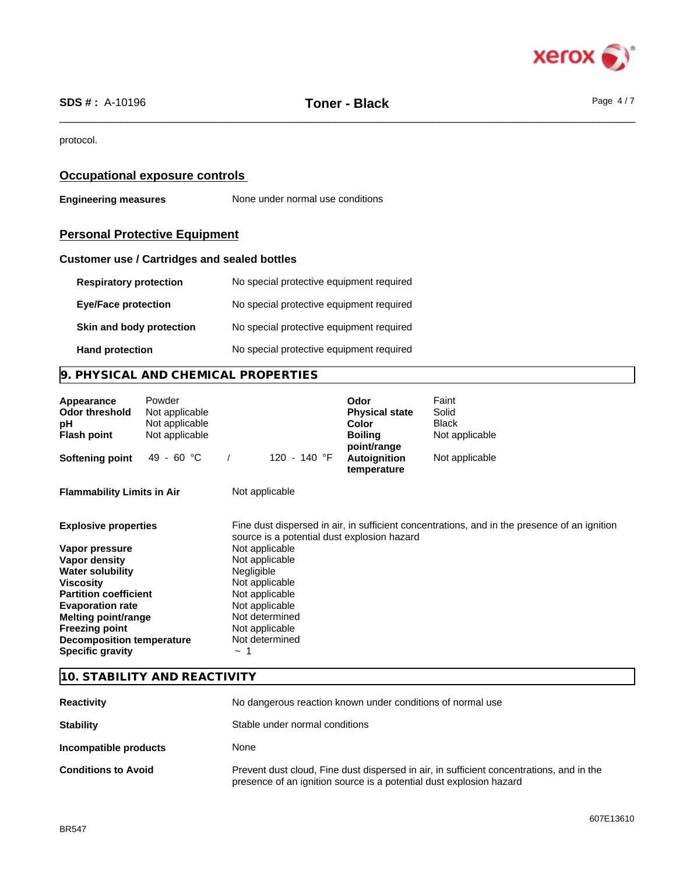

protocol.

# **Occupational exposure controls**

**Engineering measures** None under normal use conditions

# **Personal Protective Equipment**

### **Customer use / Cartridges and sealed bottles**

| <b>Respiratory protection</b> | No special protective equipment required |
|-------------------------------|------------------------------------------|
| <b>Eye/Face protection</b>    | No special protective equipment required |
| Skin and body protection      | No special protective equipment required |
| <b>Hand protection</b>        | No special protective equipment required |

# **9. PHYSICAL AND CHEMICAL PROPERTIES**

| Appearance<br><b>Odor threshold</b><br>рH<br><b>Flash point</b> | Powder<br>Not applicable<br>Not applicable<br>Not applicable |                                             | Odor<br><b>Physical state</b><br>Color<br><b>Boiling</b><br>point/range | Faint<br>Solid<br><b>Black</b><br>Not applicable                                             |
|-----------------------------------------------------------------|--------------------------------------------------------------|---------------------------------------------|-------------------------------------------------------------------------|----------------------------------------------------------------------------------------------|
| <b>Softening point</b>                                          | 49 - 60 °C                                                   | 120 - 140 °F                                | Autoignition<br>temperature                                             | Not applicable                                                                               |
| <b>Flammability Limits in Air</b>                               |                                                              | Not applicable                              |                                                                         |                                                                                              |
| <b>Explosive properties</b>                                     |                                                              | source is a potential dust explosion hazard |                                                                         | Fine dust dispersed in air, in sufficient concentrations, and in the presence of an ignition |
| Vapor pressure                                                  |                                                              | Not applicable                              |                                                                         |                                                                                              |
| Vapor density                                                   |                                                              | Not applicable                              |                                                                         |                                                                                              |
| <b>Water solubility</b>                                         |                                                              | <b>Negligible</b>                           |                                                                         |                                                                                              |
| <b>Viscosity</b>                                                |                                                              | Not applicable                              |                                                                         |                                                                                              |
| <b>Partition coefficient</b>                                    |                                                              | Not applicable                              |                                                                         |                                                                                              |
| <b>Evaporation rate</b>                                         |                                                              | Not applicable                              |                                                                         |                                                                                              |
| Melting point/range                                             |                                                              | Not determined                              |                                                                         |                                                                                              |
| <b>Freezing point</b>                                           |                                                              | Not applicable<br>Not determined            |                                                                         |                                                                                              |
| <b>Decomposition temperature</b><br><b>Specific gravity</b>     |                                                              | $\tilde{}$                                  |                                                                         |                                                                                              |

### **10. STABILITY AND REACTIVITY**

| <b>Reactivity</b>          | No dangerous reaction known under conditions of normal use                                                                                                      |  |
|----------------------------|-----------------------------------------------------------------------------------------------------------------------------------------------------------------|--|
| <b>Stability</b>           | Stable under normal conditions                                                                                                                                  |  |
| Incompatible products      | None                                                                                                                                                            |  |
| <b>Conditions to Avoid</b> | Prevent dust cloud, Fine dust dispersed in air, in sufficient concentrations, and in the<br>presence of an ignition source is a potential dust explosion hazard |  |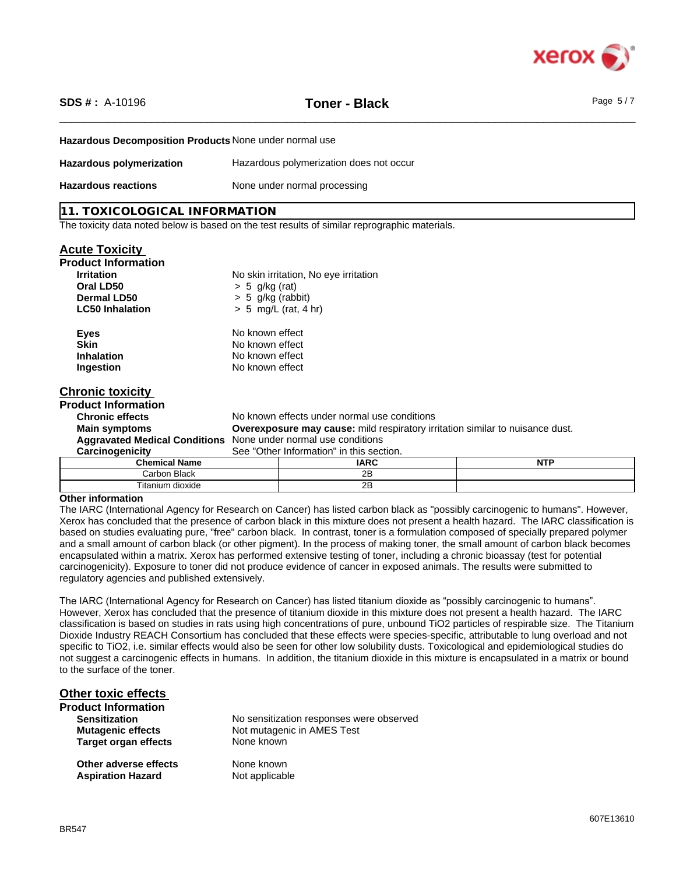

\_\_\_\_\_\_\_\_\_\_\_\_\_\_\_\_\_\_\_\_\_\_\_\_\_\_\_\_\_\_\_\_\_\_\_\_\_\_\_\_\_\_\_\_\_\_\_\_\_\_\_\_\_\_\_\_\_\_\_\_\_\_\_\_\_\_\_\_\_\_\_\_\_\_\_\_\_\_\_\_\_\_\_\_\_\_\_\_\_\_\_\_\_\_ **SDS # :** A-10196 **Toner - Black** Page 5 / 7

**Hazardous Decomposition Products** None under normal use

| Hazardous polymerization   | Hazardous polymerization does not occur |
|----------------------------|-----------------------------------------|
| <b>Hazardous reactions</b> | None under normal processing            |

### **11. TOXICOLOGICAL INFORMATION**

The toxicity data noted below is based on the test results of similar reprographic materials.

| <b>Acute Toxicity</b>      |                                                                                      |                                       |            |  |
|----------------------------|--------------------------------------------------------------------------------------|---------------------------------------|------------|--|
| <b>Product Information</b> |                                                                                      |                                       |            |  |
| <b>Irritation</b>          |                                                                                      | No skin irritation, No eye irritation |            |  |
| Oral LD50                  | $> 5$ g/kg (rat)                                                                     |                                       |            |  |
| Dermal LD50                | $> 5$ g/kg (rabbit)                                                                  |                                       |            |  |
| <b>LC50 Inhalation</b>     | $> 5$ mg/L (rat, 4 hr)                                                               |                                       |            |  |
| <b>Eyes</b>                | No known effect                                                                      |                                       |            |  |
| <b>Skin</b>                |                                                                                      | No known effect                       |            |  |
| <b>Inhalation</b>          |                                                                                      | No known effect                       |            |  |
| Ingestion                  | No known effect                                                                      |                                       |            |  |
| <b>Chronic toxicity</b>    |                                                                                      |                                       |            |  |
| <b>Product Information</b> |                                                                                      |                                       |            |  |
| <b>Chronic effects</b>     | No known effects under normal use conditions                                         |                                       |            |  |
| <b>Main symptoms</b>       | <b>Overexposure may cause:</b> mild respiratory irritation similar to nuisance dust. |                                       |            |  |
|                            | Aggravated Medical Conditions None under normal use conditions                       |                                       |            |  |
| Carcinogenicity            | See "Other Information" in this section.                                             |                                       |            |  |
| <b>Chemical Name</b>       |                                                                                      | <b>IARC</b>                           | <b>NTP</b> |  |
| Carbon Black               |                                                                                      | 2B                                    |            |  |
| Titanium dioxide           |                                                                                      | 2B                                    |            |  |

#### **Other information**

The IARC (International Agency for Research on Cancer) has listed carbon black as "possibly carcinogenic to humans". However, Xerox has concluded that the presence of carbon black in this mixture does not present a health hazard. The IARC classification is based on studies evaluating pure, "free" carbon black. In contrast, toner is a formulation composed of specially prepared polymer and a small amount of carbon black (or other pigment). In the process of making toner, the small amount of carbon black becomes encapsulated within a matrix. Xerox has performed extensive testing of toner, including a chronic bioassay (test for potential carcinogenicity). Exposure to toner did not produce evidence of cancer in exposed animals. The results were submitted to regulatory agencies and published extensively.

The IARC (International Agency for Research on Cancer) has listed titanium dioxide as "possibly carcinogenic to humans". However, Xerox has concluded that the presence of titanium dioxide in this mixture does not present a health hazard. The IARC classification is based on studies in rats using high concentrations of pure, unbound TiO2 particles of respirable size. The Titanium Dioxide Industry REACH Consortium has concluded that these effects were species-specific, attributable to lung overload and not specific to TiO2, i.e. similar effects would also be seen for other low solubility dusts. Toxicological and epidemiological studies do not suggest a carcinogenic effects in humans. In addition, the titanium dioxide in this mixture is encapsulated in a matrix or bound to the surface of the toner.

| <b>Other toxic effects</b>  |                                          |
|-----------------------------|------------------------------------------|
| <b>Product Information</b>  |                                          |
| <b>Sensitization</b>        | No sensitization responses were observed |
| <b>Mutagenic effects</b>    | Not mutagenic in AMES Test               |
| <b>Target organ effects</b> | None known                               |
| Other adverse effects       | None known                               |
| <b>Aspiration Hazard</b>    | Not applicable                           |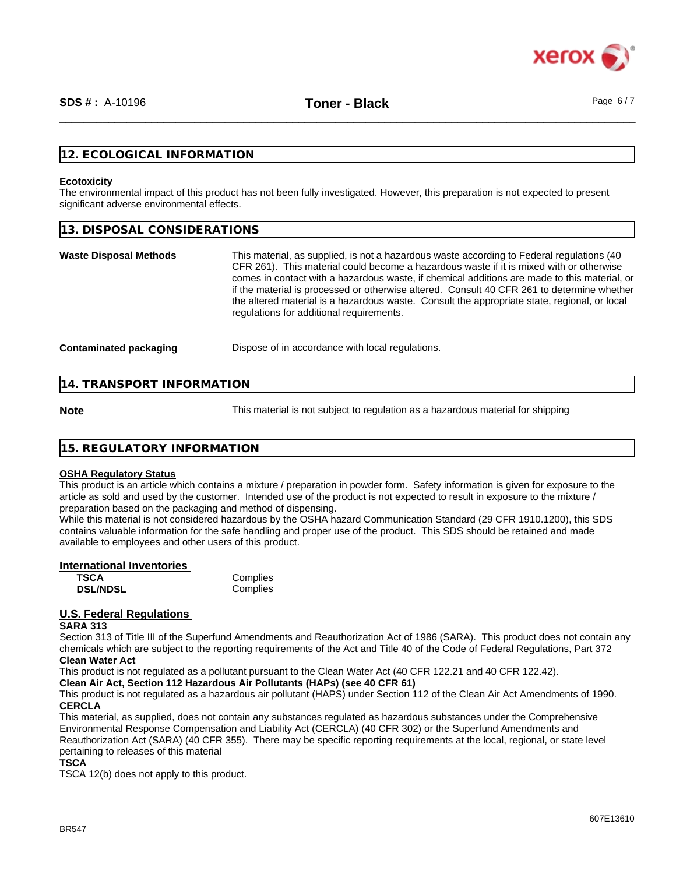

### **12. ECOLOGICAL INFORMATION**

#### **Ecotoxicity**

The environmental impact of this product has not been fully investigated. However, this preparation is not expected to present significant adverse environmental effects.

| 13. DISPOSAL CONSIDERATIONS                                                                                                                                                                                                                                                                                                                                                                                                                                                                                                    |
|--------------------------------------------------------------------------------------------------------------------------------------------------------------------------------------------------------------------------------------------------------------------------------------------------------------------------------------------------------------------------------------------------------------------------------------------------------------------------------------------------------------------------------|
| This material, as supplied, is not a hazardous waste according to Federal regulations (40<br>CFR 261). This material could become a hazardous waste if it is mixed with or otherwise<br>comes in contact with a hazardous waste, if chemical additions are made to this material, or<br>if the material is processed or otherwise altered. Consult 40 CFR 261 to determine whether<br>the altered material is a hazardous waste. Consult the appropriate state, regional, or local<br>regulations for additional requirements. |
| Dispose of in accordance with local regulations.                                                                                                                                                                                                                                                                                                                                                                                                                                                                               |
|                                                                                                                                                                                                                                                                                                                                                                                                                                                                                                                                |

### **14. TRANSPORT INFORMATION**

**Note** This material is not subject to regulation as a hazardous material for shipping

### **15. REGULATORY INFORMATION**

#### **OSHA Regulatory Status**

This product is an article which contains a mixture / preparation in powder form. Safety information is given for exposure to the article as sold and used by the customer. Intended use of the product is not expected to result in exposure to the mixture / preparation based on the packaging and method of dispensing.

While this material is not considered hazardous by the OSHA hazard Communication Standard (29 CFR 1910.1200), this SDS contains valuable information for the safe handling and proper use of the product. This SDS should be retained and made available to employees and other users of this product.

### **International Inventories**

| <b>TSCA</b>     | Complies |
|-----------------|----------|
| <b>DSL/NDSL</b> | Complies |

### **U.S. Federal Regulations**

#### **SARA 313**

Section 313 of Title III of the Superfund Amendments and Reauthorization Act of 1986 (SARA). This product does not contain any chemicals which are subject to the reporting requirements of the Act and Title 40 of the Code of Federal Regulations, Part 372 **Clean Water Act**

This product is not regulated as a pollutant pursuant to the Clean Water Act (40 CFR 122.21 and 40 CFR 122.42).

## **Clean Air Act,Section 112 Hazardous Air Pollutants (HAPs) (see 40 CFR 61)**

This product is not regulated as a hazardous air pollutant (HAPS) under Section 112 of the Clean Air Act Amendments of 1990. **CERCLA**

This material, as supplied, does not contain any substances regulated as hazardous substances under the Comprehensive Environmental Response Compensation and Liability Act (CERCLA) (40 CFR 302) or the Superfund Amendments and Reauthorization Act (SARA) (40 CFR 355). There may be specific reporting requirements at the local, regional, or state level pertaining to releases of this material

**TSCA**

TSCA 12(b) does not apply to this product.